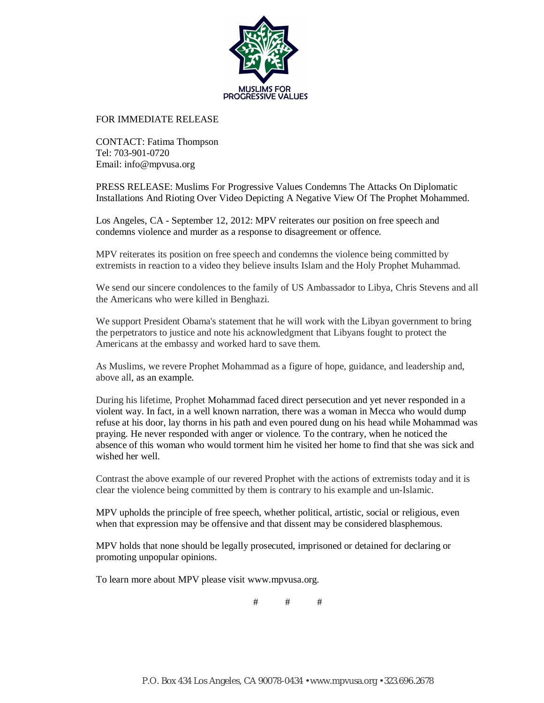

## FOR IMMEDIATE RELEASE

CONTACT: Fatima Thompson Tel: 703-901-0720 Email: info@mpvusa.org

PRESS RELEASE: Muslims For Progressive Values Condemns The Attacks On Diplomatic Installations And Rioting Over Video Depicting A Negative View Of The Prophet Mohammed.

Los Angeles, CA - September 12, 2012: MPV reiterates our position on free speech and condemns violence and murder as a response to disagreement or offence.

MPV reiterates its position on free speech and condemns the violence being committed by extremists in reaction to a video they believe insults Islam and the Holy Prophet Muhammad.

We send our sincere condolences to the family of US Ambassador to Libya, Chris Stevens and all the Americans who were killed in Benghazi.

We support President Obama's statement that he will work with the Libyan government to bring the perpetrators to justice and note his acknowledgment that Libyans fought to protect the Americans at the embassy and worked hard to save them.

As Muslims, we revere Prophet Mohammad as a figure of hope, guidance, and leadership and, above all, as an example.

During his lifetime, Prophet Mohammad faced direct persecution and yet never responded in a violent way. In fact, in a well known narration, there was a woman in Mecca who would dump refuse at his door, lay thorns in his path and even poured dung on his head while Mohammad was praying. He never responded with anger or violence. To the contrary, when he noticed the absence of this woman who would torment him he visited her home to find that she was sick and wished her well.

Contrast the above example of our revered Prophet with the actions of extremists today and it is clear the violence being committed by them is contrary to his example and un-Islamic.

MPV upholds the principle of free speech, whether political, artistic, social or religious, even when that expression may be offensive and that dissent may be considered blasphemous.

MPV holds that none should be legally prosecuted, imprisoned or detained for declaring or promoting unpopular opinions.

To learn more about MPV please visit www.mpvusa.org.

 $#$   $#$   $#$